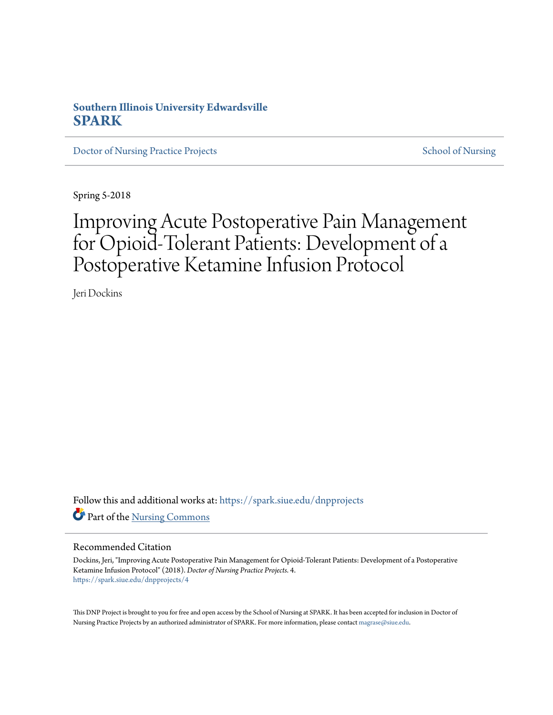## **Southern Illinois University Edwardsville [SPARK](https://spark.siue.edu?utm_source=spark.siue.edu%2Fdnpprojects%2F4&utm_medium=PDF&utm_campaign=PDFCoverPages)**

[Doctor of Nursing Practice Projects](https://spark.siue.edu/dnpprojects?utm_source=spark.siue.edu%2Fdnpprojects%2F4&utm_medium=PDF&utm_campaign=PDFCoverPages) [School of Nursing](https://spark.siue.edu/nursing?utm_source=spark.siue.edu%2Fdnpprojects%2F4&utm_medium=PDF&utm_campaign=PDFCoverPages)

Spring 5-2018

# Improving Acute Postoperative Pain Management for Opioid-Tolerant Patients: Development of a Postoperative Ketamine Infusion Protocol

Jeri Dockins

Follow this and additional works at: [https://spark.siue.edu/dnpprojects](https://spark.siue.edu/dnpprojects?utm_source=spark.siue.edu%2Fdnpprojects%2F4&utm_medium=PDF&utm_campaign=PDFCoverPages) Part of the [Nursing Commons](http://network.bepress.com/hgg/discipline/718?utm_source=spark.siue.edu%2Fdnpprojects%2F4&utm_medium=PDF&utm_campaign=PDFCoverPages)

#### Recommended Citation

Dockins, Jeri, "Improving Acute Postoperative Pain Management for Opioid-Tolerant Patients: Development of a Postoperative Ketamine Infusion Protocol" (2018). *Doctor of Nursing Practice Projects*. 4. [https://spark.siue.edu/dnpprojects/4](https://spark.siue.edu/dnpprojects/4?utm_source=spark.siue.edu%2Fdnpprojects%2F4&utm_medium=PDF&utm_campaign=PDFCoverPages)

This DNP Project is brought to you for free and open access by the School of Nursing at SPARK. It has been accepted for inclusion in Doctor of Nursing Practice Projects by an authorized administrator of SPARK. For more information, please contact [magrase@siue.edu](mailto:magrase@siue.edu).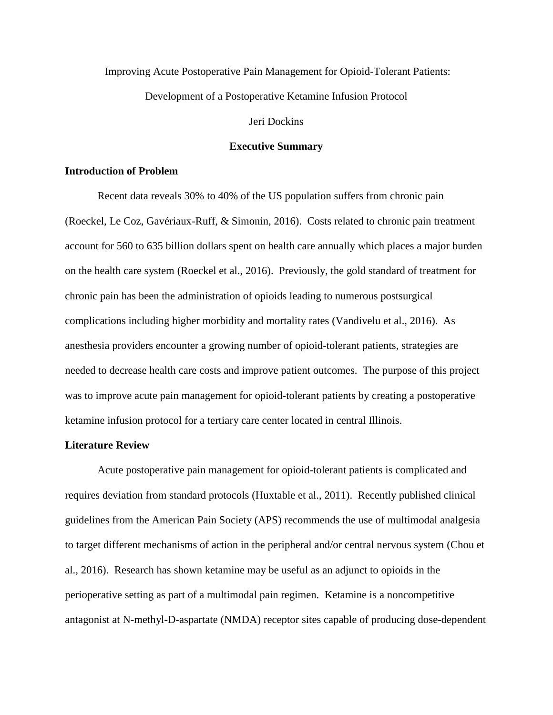#### Improving Acute Postoperative Pain Management for Opioid-Tolerant Patients:

Development of a Postoperative Ketamine Infusion Protocol

Jeri Dockins

#### **Executive Summary**

### **Introduction of Problem**

Recent data reveals 30% to 40% of the US population suffers from chronic pain (Roeckel, Le Coz, Gavériaux-Ruff, & Simonin, 2016). Costs related to chronic pain treatment account for 560 to 635 billion dollars spent on health care annually which places a major burden on the health care system (Roeckel et al., 2016). Previously, the gold standard of treatment for chronic pain has been the administration of opioids leading to numerous postsurgical complications including higher morbidity and mortality rates (Vandivelu et al., 2016). As anesthesia providers encounter a growing number of opioid-tolerant patients, strategies are needed to decrease health care costs and improve patient outcomes. The purpose of this project was to improve acute pain management for opioid-tolerant patients by creating a postoperative ketamine infusion protocol for a tertiary care center located in central Illinois.

#### **Literature Review**

Acute postoperative pain management for opioid-tolerant patients is complicated and requires deviation from standard protocols (Huxtable et al., 2011). Recently published clinical guidelines from the American Pain Society (APS) recommends the use of multimodal analgesia to target different mechanisms of action in the peripheral and/or central nervous system (Chou et al., 2016). Research has shown ketamine may be useful as an adjunct to opioids in the perioperative setting as part of a multimodal pain regimen. Ketamine is a noncompetitive antagonist at N-methyl-D-aspartate (NMDA) receptor sites capable of producing dose-dependent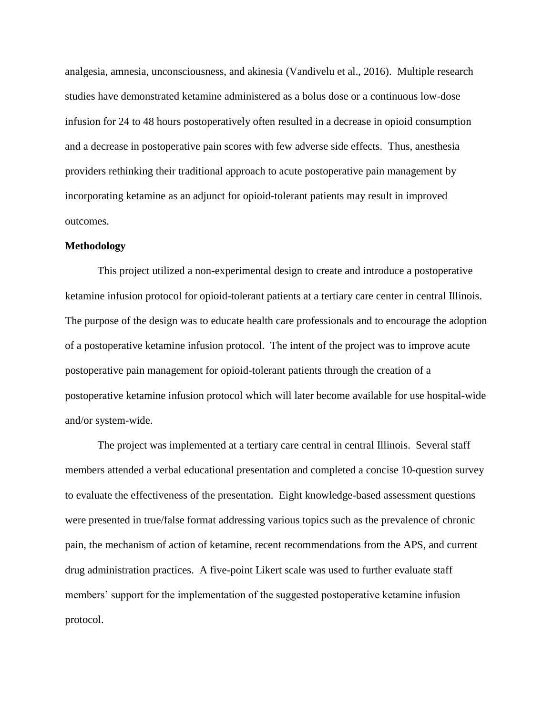analgesia, amnesia, unconsciousness, and akinesia (Vandivelu et al., 2016). Multiple research studies have demonstrated ketamine administered as a bolus dose or a continuous low-dose infusion for 24 to 48 hours postoperatively often resulted in a decrease in opioid consumption and a decrease in postoperative pain scores with few adverse side effects. Thus, anesthesia providers rethinking their traditional approach to acute postoperative pain management by incorporating ketamine as an adjunct for opioid-tolerant patients may result in improved outcomes.

#### **Methodology**

This project utilized a non-experimental design to create and introduce a postoperative ketamine infusion protocol for opioid-tolerant patients at a tertiary care center in central Illinois. The purpose of the design was to educate health care professionals and to encourage the adoption of a postoperative ketamine infusion protocol. The intent of the project was to improve acute postoperative pain management for opioid-tolerant patients through the creation of a postoperative ketamine infusion protocol which will later become available for use hospital-wide and/or system-wide.

The project was implemented at a tertiary care central in central Illinois. Several staff members attended a verbal educational presentation and completed a concise 10-question survey to evaluate the effectiveness of the presentation. Eight knowledge-based assessment questions were presented in true/false format addressing various topics such as the prevalence of chronic pain, the mechanism of action of ketamine, recent recommendations from the APS, and current drug administration practices. A five-point Likert scale was used to further evaluate staff members' support for the implementation of the suggested postoperative ketamine infusion protocol.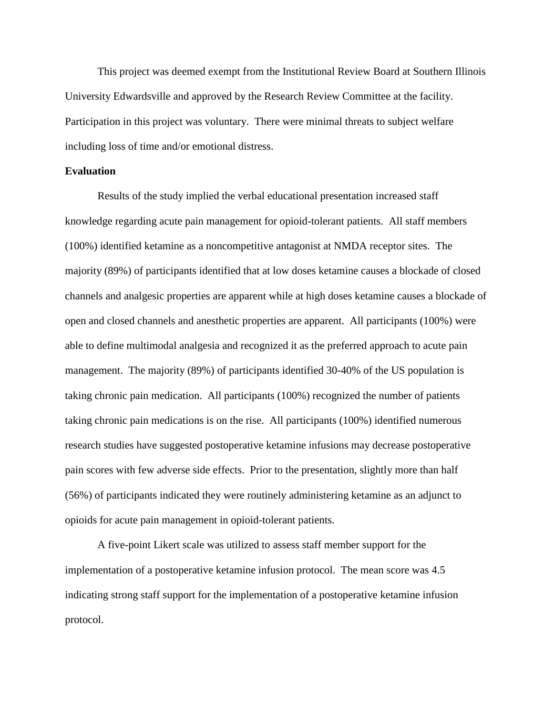This project was deemed exempt from the Institutional Review Board at Southern Illinois University Edwardsville and approved by the Research Review Committee at the facility. Participation in this project was voluntary. There were minimal threats to subject welfare including loss of time and/or emotional distress.

### **Evaluation**

Results of the study implied the verbal educational presentation increased staff knowledge regarding acute pain management for opioid-tolerant patients. All staff members (100%) identified ketamine as a noncompetitive antagonist at NMDA receptor sites. The majority (89%) of participants identified that at low doses ketamine causes a blockade of closed channels and analgesic properties are apparent while at high doses ketamine causes a blockade of open and closed channels and anesthetic properties are apparent. All participants (100%) were able to define multimodal analgesia and recognized it as the preferred approach to acute pain management. The majority (89%) of participants identified 30-40% of the US population is taking chronic pain medication. All participants (100%) recognized the number of patients taking chronic pain medications is on the rise. All participants (100%) identified numerous research studies have suggested postoperative ketamine infusions may decrease postoperative pain scores with few adverse side effects. Prior to the presentation, slightly more than half (56%) of participants indicated they were routinely administering ketamine as an adjunct to opioids for acute pain management in opioid-tolerant patients.

A five-point Likert scale was utilized to assess staff member support for the implementation of a postoperative ketamine infusion protocol. The mean score was 4.5 indicating strong staff support for the implementation of a postoperative ketamine infusion protocol.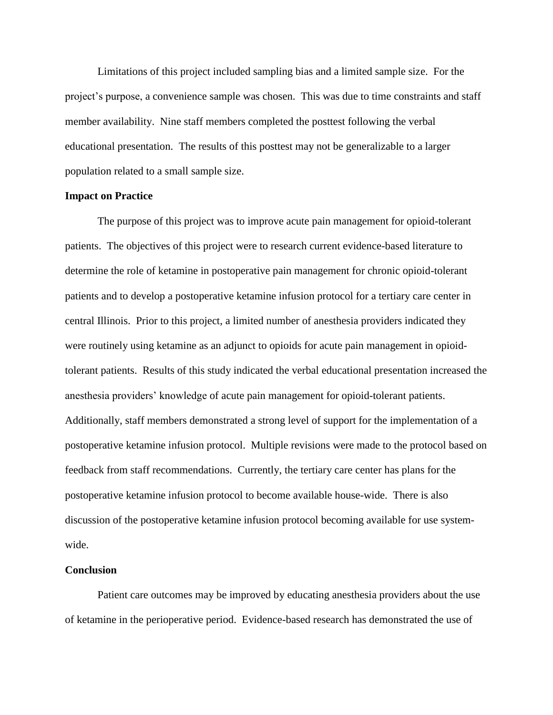Limitations of this project included sampling bias and a limited sample size. For the project's purpose, a convenience sample was chosen. This was due to time constraints and staff member availability. Nine staff members completed the posttest following the verbal educational presentation. The results of this posttest may not be generalizable to a larger population related to a small sample size.

### **Impact on Practice**

The purpose of this project was to improve acute pain management for opioid-tolerant patients. The objectives of this project were to research current evidence-based literature to determine the role of ketamine in postoperative pain management for chronic opioid-tolerant patients and to develop a postoperative ketamine infusion protocol for a tertiary care center in central Illinois. Prior to this project, a limited number of anesthesia providers indicated they were routinely using ketamine as an adjunct to opioids for acute pain management in opioidtolerant patients. Results of this study indicated the verbal educational presentation increased the anesthesia providers' knowledge of acute pain management for opioid-tolerant patients. Additionally, staff members demonstrated a strong level of support for the implementation of a postoperative ketamine infusion protocol. Multiple revisions were made to the protocol based on feedback from staff recommendations. Currently, the tertiary care center has plans for the postoperative ketamine infusion protocol to become available house-wide. There is also discussion of the postoperative ketamine infusion protocol becoming available for use systemwide.

#### **Conclusion**

Patient care outcomes may be improved by educating anesthesia providers about the use of ketamine in the perioperative period. Evidence-based research has demonstrated the use of